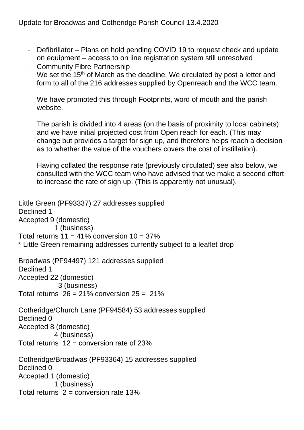- Defibrillator Plans on hold pending COVID 19 to request check and update on equipment – access to on line registration system still unresolved
- Community Fibre Partnership We set the 15<sup>th</sup> of March as the deadline. We circulated by post a letter and form to all of the 216 addresses supplied by Openreach and the WCC team.

We have promoted this through Footprints, word of mouth and the parish website.

The parish is divided into 4 areas (on the basis of proximity to local cabinets) and we have initial projected cost from Open reach for each. (This may change but provides a target for sign up, and therefore helps reach a decision as to whether the value of the vouchers covers the cost of instillation).

Having collated the response rate (previously circulated) see also below, we consulted with the WCC team who have advised that we make a second effort to increase the rate of sign up. (This is apparently not unusual).

```
Little Green (PF93337) 27 addresses supplied
Declined 1
Accepted 9 (domestic)
          1 (business)
Total returns 11 = 41\% conversion 10 = 37\%* Little Green remaining addresses currently subject to a leaflet drop
Broadwas (PF94497) 121 addresses supplied
Declined 1
Accepted 22 (domestic)
            3 (business)
Total returns 26 = 21\% conversion 25 = 21\%Cotheridge/Church Lane (PF94584) 53 addresses supplied
Declined 0
Accepted 8 (domestic)
          4 (business)
Total returns 12 = conversion rate of 23%
Cotheridge/Broadwas (PF93364) 15 addresses supplied
Declined 0
Accepted 1 (domestic)
          1 (business)
Total returns 2 = conversion rate 13%
```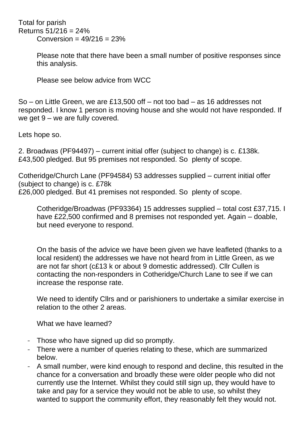Total for parish Returns 51/216 = 24%  $Conversion = 49/216 = 23%$ 

> Please note that there have been a small number of positive responses since this analysis.

Please see below advice from WCC

So – on Little Green, we are £13,500 off – not too bad – as 16 addresses not responded. I know 1 person is moving house and she would not have responded. If we get 9 – we are fully covered.

Lets hope so.

2. Broadwas (PF94497) – current initial offer (subject to change) is c. £138k. £43,500 pledged. But 95 premises not responded. So plenty of scope.

Cotheridge/Church Lane (PF94584) 53 addresses supplied – current initial offer (subject to change) is c. £78k £26,000 pledged. But 41 premises not responded. So plenty of scope.

Cotheridge/Broadwas (PF93364) 15 addresses supplied – total cost £37,715. I have £22,500 confirmed and 8 premises not responded yet. Again – doable, but need everyone to respond.

On the basis of the advice we have been given we have leafleted (thanks to a local resident) the addresses we have not heard from in Little Green, as we are not far short (c£13 k or about 9 domestic addressed). Cllr Cullen is contacting the non-responders in Cotheridge/Church Lane to see if we can increase the response rate.

We need to identify Cllrs and or parishioners to undertake a similar exercise in relation to the other 2 areas.

What we have learned?

- Those who have signed up did so promptly.
- There were a number of queries relating to these, which are summarized below.
- A small number, were kind enough to respond and decline, this resulted in the chance for a conversation and broadly these were older people who did not currently use the Internet. Whilst they could still sign up, they would have to take and pay for a service they would not be able to use, so whilst they wanted to support the community effort, they reasonably felt they would not.